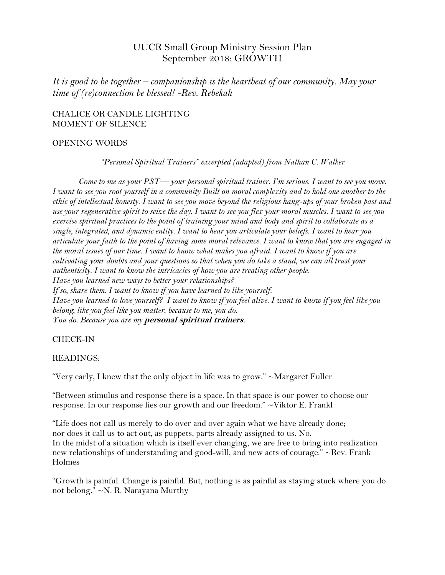# UUCR Small Group Ministry Session Plan September 2018: GROWTH

*It is good to be together – companionship is the heartbeat of our community. May your time of (re)connection be blessed! -Rev. Rebekah*

### CHALICE OR CANDLE LIGHTING MOMENT OF SILENCE

#### OPENING WORDS

*"Personal Spiritual Trainers" excerpted (adapted) from Nathan C. Walker*

*Come to me as your PST–– your personal spiritual trainer. I'm serious. I want to see you move. I want to see you root yourself in a community Built on moral complexity and to hold one another to the ethic of intellectual honesty. I want to see you move beyond the religious hang-ups of your broken past and use your regenerative spirit to seize the day. I want to see you flex your moral muscles. I want to see you exercise spiritual practices to the point of training your mind and body and spirit to collaborate as a single, integrated, and dynamic entity. I want to hear you articulate your beliefs. I want to hear you articulate your faith to the point of having some moral relevance. I want to know that you are engaged in the moral issues of our time. I want to know what makes you afraid. I want to know if you are cultivating your doubts and your questions so that when you do take a stand, we can all trust your authenticity. I want to know the intricacies of how you are treating other people. Have you learned new ways to better your relationships? If so, share them. I want to know if you have learned to like yourself. Have you learned to love yourself? I want to know if you feel alive. I want to know if you feel like you belong, like you feel like you matter, because to me, you do. You do. Because you are my* **personal spiritual trainers***.*

### CHECK-IN

### READINGS:

"Very early, I knew that the only object in life was to grow." ~Margaret Fuller

"Between stimulus and response there is a space. In that space is our power to choose our response. In our response lies our growth and our freedom." ~Viktor E. Frankl

"Life does not call us merely to do over and over again what we have already done; nor does it call us to act out, as puppets, parts already assigned to us. No. In the midst of a situation which is itself ever changing, we are free to bring into realization new relationships of understanding and good-will, and new acts of courage." ~Rev. Frank Holmes

"Growth is painful. Change is painful. But, nothing is as painful as staying stuck where you do not belong." ~N. R. Narayana Murthy